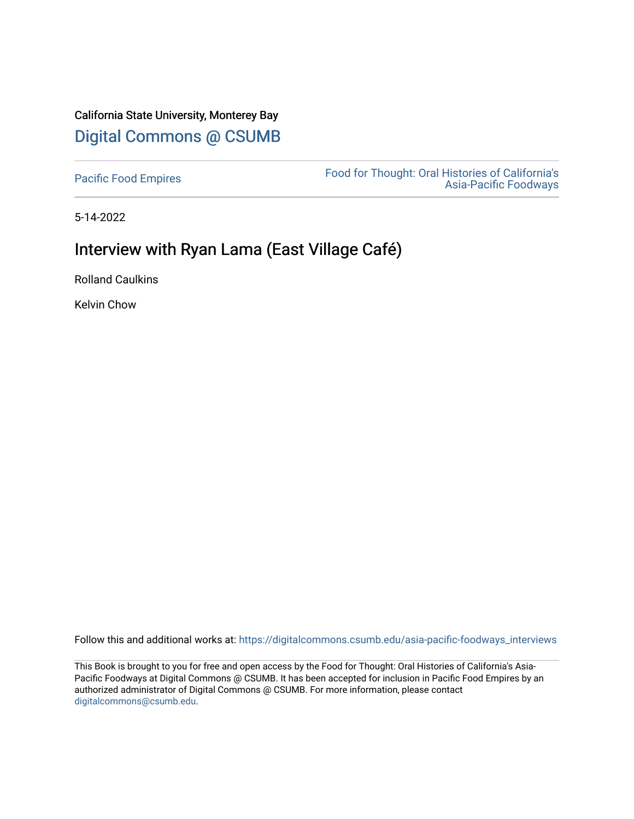# California State University, Monterey Bay [Digital Commons @ CSUMB](https://digitalcommons.csumb.edu/)

[Pacific Food Empires](https://digitalcommons.csumb.edu/asia-pacific-foodways_interviews) Food for Thought: Oral Histories of California's [Asia-Pacific Foodways](https://digitalcommons.csumb.edu/asia-pacific-foodways) 

5-14-2022

# Interview with Ryan Lama (East Village Café)

Rolland Caulkins

Kelvin Chow

Follow this and additional works at: [https://digitalcommons.csumb.edu/asia-pacific-foodways\\_interviews](https://digitalcommons.csumb.edu/asia-pacific-foodways_interviews?utm_source=digitalcommons.csumb.edu%2Fasia-pacific-foodways_interviews%2F21&utm_medium=PDF&utm_campaign=PDFCoverPages) 

This Book is brought to you for free and open access by the Food for Thought: Oral Histories of California's Asia-Pacific Foodways at Digital Commons @ CSUMB. It has been accepted for inclusion in Pacific Food Empires by an authorized administrator of Digital Commons @ CSUMB. For more information, please contact [digitalcommons@csumb.edu](mailto:digitalcommons@csumb.edu).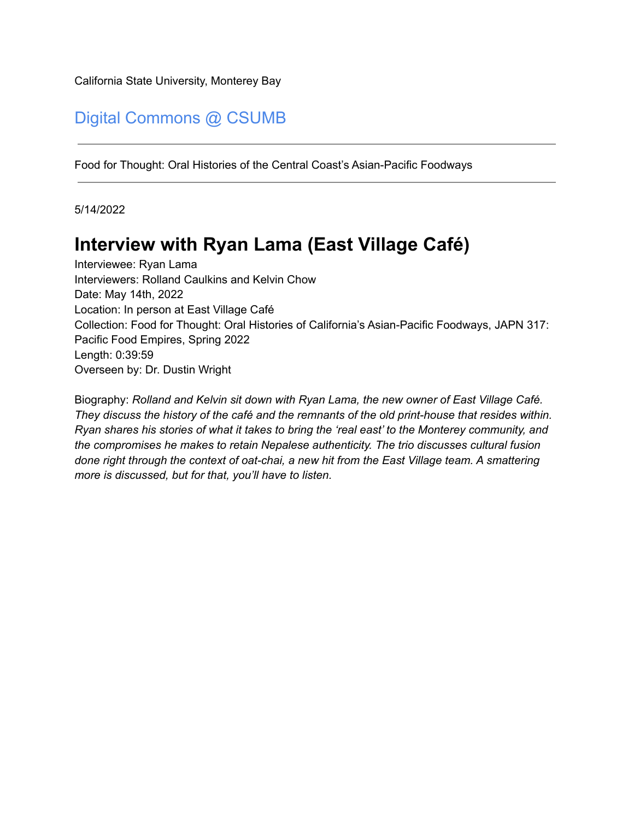California State University, Monterey Bay

# Digital Commons @ CSUMB

Food for Thought: Oral Histories of the Central Coast's Asian-Pacific Foodways

5/14/2022

# **Interview with Ryan Lama (East Village Café)**

Interviewee: Ryan Lama Interviewers: Rolland Caulkins and Kelvin Chow Date: May 14th, 2022 Location: In person at East Village Café Collection: Food for Thought: Oral Histories of California's Asian-Pacific Foodways, JAPN 317: Pacific Food Empires, Spring 2022 Length: 0:39:59 Overseen by: Dr. Dustin Wright

Biography: *Rolland and Kelvin sit down with Ryan Lama, the new owner of East Village Café. They discuss the history of the café and the remnants of the old print-house that resides within. Ryan shares his stories of what it takes to bring the 'real east' to the Monterey community, and the compromises he makes to retain Nepalese authenticity. The trio discusses cultural fusion done right through the context of oat-chai, a new hit from the East Village team. A smattering more is discussed, but for that, you'll have to listen.*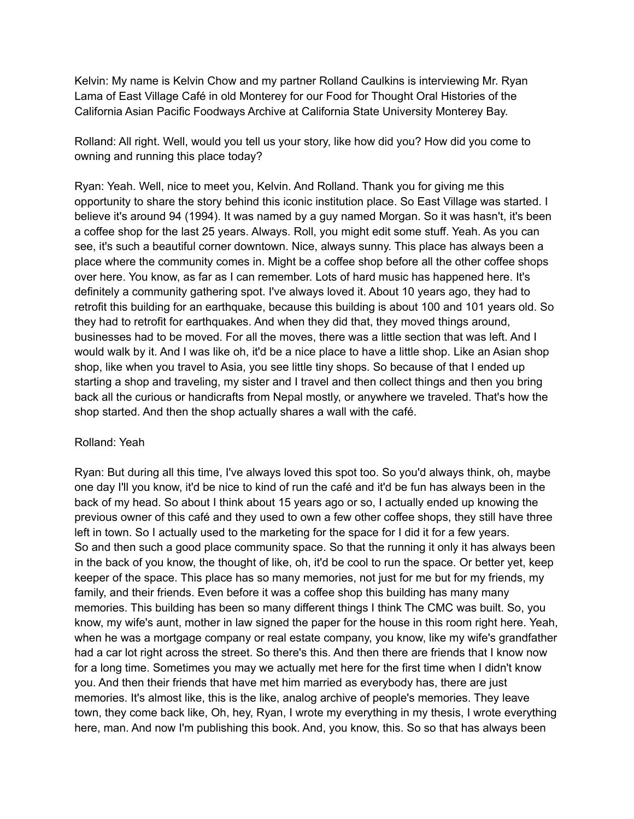Kelvin: My name is Kelvin Chow and my partner Rolland Caulkins is interviewing Mr. Ryan Lama of East Village Café in old Monterey for our Food for Thought Oral Histories of the California Asian Pacific Foodways Archive at California State University Monterey Bay.

Rolland: All right. Well, would you tell us your story, like how did you? How did you come to owning and running this place today?

Ryan: Yeah. Well, nice to meet you, Kelvin. And Rolland. Thank you for giving me this opportunity to share the story behind this iconic institution place. So East Village was started. I believe it's around 94 (1994). It was named by a guy named Morgan. So it was hasn't, it's been a coffee shop for the last 25 years. Always. Roll, you might edit some stuff. Yeah. As you can see, it's such a beautiful corner downtown. Nice, always sunny. This place has always been a place where the community comes in. Might be a coffee shop before all the other coffee shops over here. You know, as far as I can remember. Lots of hard music has happened here. It's definitely a community gathering spot. I've always loved it. About 10 years ago, they had to retrofit this building for an earthquake, because this building is about 100 and 101 years old. So they had to retrofit for earthquakes. And when they did that, they moved things around, businesses had to be moved. For all the moves, there was a little section that was left. And I would walk by it. And I was like oh, it'd be a nice place to have a little shop. Like an Asian shop shop, like when you travel to Asia, you see little tiny shops. So because of that I ended up starting a shop and traveling, my sister and I travel and then collect things and then you bring back all the curious or handicrafts from Nepal mostly, or anywhere we traveled. That's how the shop started. And then the shop actually shares a wall with the café.

#### Rolland: Yeah

Ryan: But during all this time, I've always loved this spot too. So you'd always think, oh, maybe one day I'll you know, it'd be nice to kind of run the café and it'd be fun has always been in the back of my head. So about I think about 15 years ago or so, I actually ended up knowing the previous owner of this café and they used to own a few other coffee shops, they still have three left in town. So I actually used to the marketing for the space for I did it for a few years. So and then such a good place community space. So that the running it only it has always been in the back of you know, the thought of like, oh, it'd be cool to run the space. Or better yet, keep keeper of the space. This place has so many memories, not just for me but for my friends, my family, and their friends. Even before it was a coffee shop this building has many many memories. This building has been so many different things I think The CMC was built. So, you know, my wife's aunt, mother in law signed the paper for the house in this room right here. Yeah, when he was a mortgage company or real estate company, you know, like my wife's grandfather had a car lot right across the street. So there's this. And then there are friends that I know now for a long time. Sometimes you may we actually met here for the first time when I didn't know you. And then their friends that have met him married as everybody has, there are just memories. It's almost like, this is the like, analog archive of people's memories. They leave town, they come back like, Oh, hey, Ryan, I wrote my everything in my thesis, I wrote everything here, man. And now I'm publishing this book. And, you know, this. So so that has always been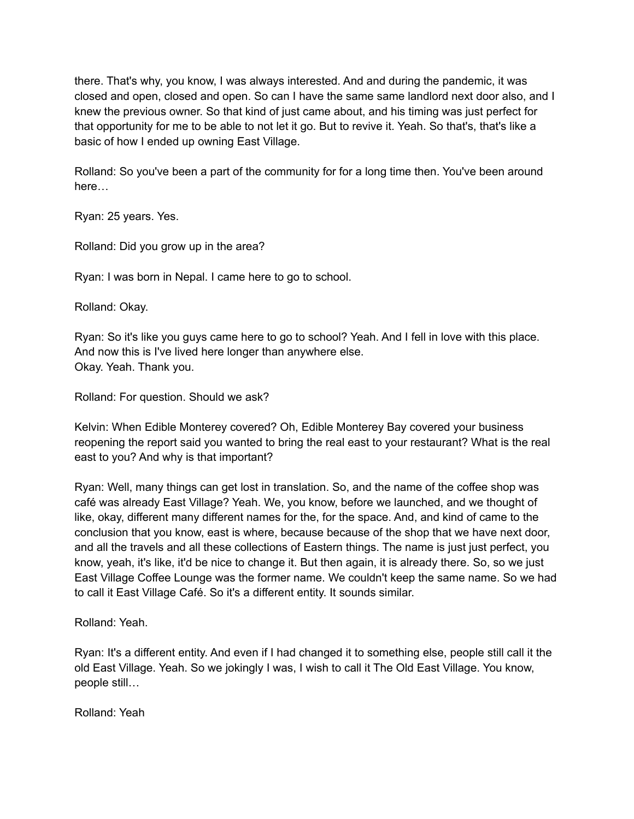there. That's why, you know, I was always interested. And and during the pandemic, it was closed and open, closed and open. So can I have the same same landlord next door also, and I knew the previous owner. So that kind of just came about, and his timing was just perfect for that opportunity for me to be able to not let it go. But to revive it. Yeah. So that's, that's like a basic of how I ended up owning East Village.

Rolland: So you've been a part of the community for for a long time then. You've been around here…

Ryan: 25 years. Yes.

Rolland: Did you grow up in the area?

Ryan: I was born in Nepal. I came here to go to school.

Rolland: Okay.

Ryan: So it's like you guys came here to go to school? Yeah. And I fell in love with this place. And now this is I've lived here longer than anywhere else. Okay. Yeah. Thank you.

Rolland: For question. Should we ask?

Kelvin: When Edible Monterey covered? Oh, Edible Monterey Bay covered your business reopening the report said you wanted to bring the real east to your restaurant? What is the real east to you? And why is that important?

Ryan: Well, many things can get lost in translation. So, and the name of the coffee shop was café was already East Village? Yeah. We, you know, before we launched, and we thought of like, okay, different many different names for the, for the space. And, and kind of came to the conclusion that you know, east is where, because because of the shop that we have next door, and all the travels and all these collections of Eastern things. The name is just just perfect, you know, yeah, it's like, it'd be nice to change it. But then again, it is already there. So, so we just East Village Coffee Lounge was the former name. We couldn't keep the same name. So we had to call it East Village Café. So it's a different entity. It sounds similar.

Rolland: Yeah.

Ryan: It's a different entity. And even if I had changed it to something else, people still call it the old East Village. Yeah. So we jokingly I was, I wish to call it The Old East Village. You know, people still…

Rolland: Yeah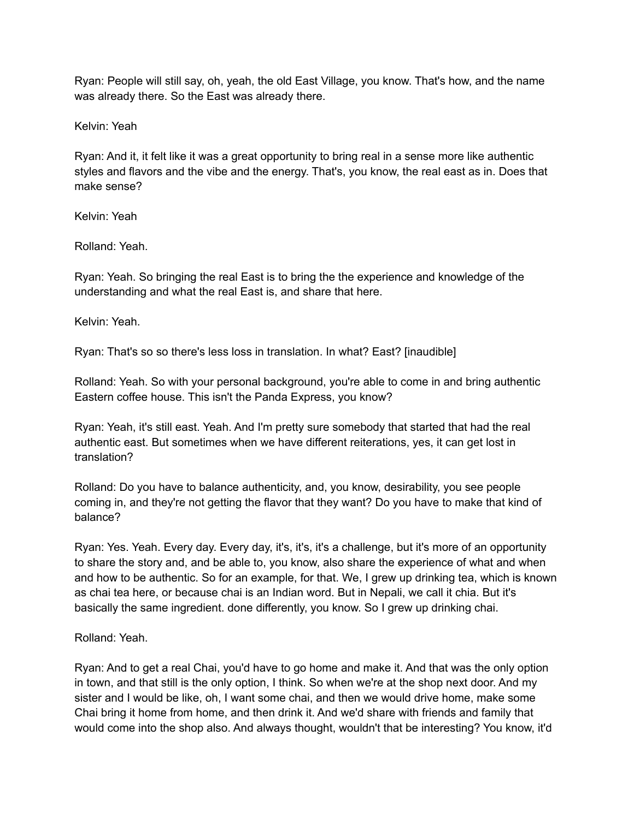Ryan: People will still say, oh, yeah, the old East Village, you know. That's how, and the name was already there. So the East was already there.

Kelvin: Yeah

Ryan: And it, it felt like it was a great opportunity to bring real in a sense more like authentic styles and flavors and the vibe and the energy. That's, you know, the real east as in. Does that make sense?

Kelvin: Yeah

Rolland: Yeah.

Ryan: Yeah. So bringing the real East is to bring the the experience and knowledge of the understanding and what the real East is, and share that here.

Kelvin: Yeah.

Ryan: That's so so there's less loss in translation. In what? East? [inaudible]

Rolland: Yeah. So with your personal background, you're able to come in and bring authentic Eastern coffee house. This isn't the Panda Express, you know?

Ryan: Yeah, it's still east. Yeah. And I'm pretty sure somebody that started that had the real authentic east. But sometimes when we have different reiterations, yes, it can get lost in translation?

Rolland: Do you have to balance authenticity, and, you know, desirability, you see people coming in, and they're not getting the flavor that they want? Do you have to make that kind of balance?

Ryan: Yes. Yeah. Every day. Every day, it's, it's, it's a challenge, but it's more of an opportunity to share the story and, and be able to, you know, also share the experience of what and when and how to be authentic. So for an example, for that. We, I grew up drinking tea, which is known as chai tea here, or because chai is an Indian word. But in Nepali, we call it chia. But it's basically the same ingredient. done differently, you know. So I grew up drinking chai.

Rolland: Yeah.

Ryan: And to get a real Chai, you'd have to go home and make it. And that was the only option in town, and that still is the only option, I think. So when we're at the shop next door. And my sister and I would be like, oh, I want some chai, and then we would drive home, make some Chai bring it home from home, and then drink it. And we'd share with friends and family that would come into the shop also. And always thought, wouldn't that be interesting? You know, it'd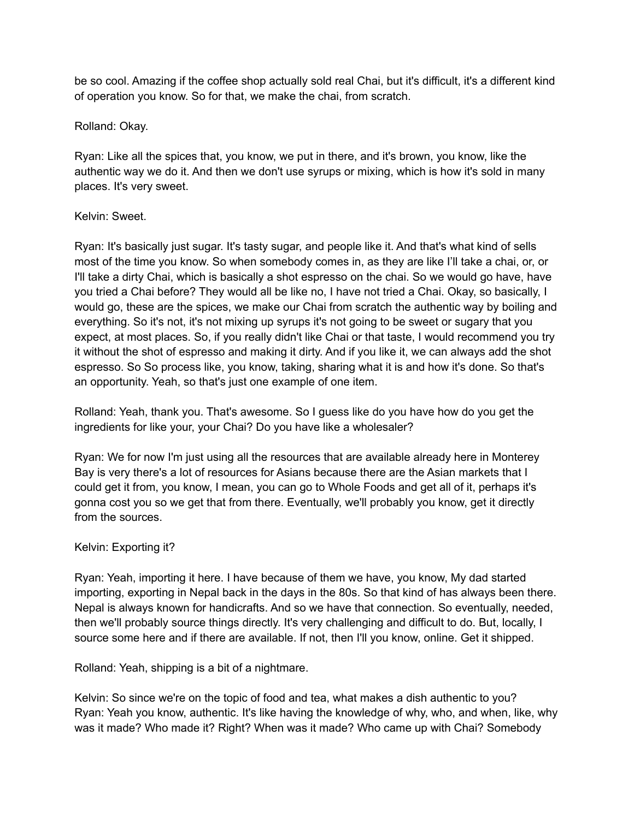be so cool. Amazing if the coffee shop actually sold real Chai, but it's difficult, it's a different kind of operation you know. So for that, we make the chai, from scratch.

Rolland: Okay.

Ryan: Like all the spices that, you know, we put in there, and it's brown, you know, like the authentic way we do it. And then we don't use syrups or mixing, which is how it's sold in many places. It's very sweet.

#### Kelvin: Sweet.

Ryan: It's basically just sugar. It's tasty sugar, and people like it. And that's what kind of sells most of the time you know. So when somebody comes in, as they are like I'll take a chai, or, or I'll take a dirty Chai, which is basically a shot espresso on the chai. So we would go have, have you tried a Chai before? They would all be like no, I have not tried a Chai. Okay, so basically, I would go, these are the spices, we make our Chai from scratch the authentic way by boiling and everything. So it's not, it's not mixing up syrups it's not going to be sweet or sugary that you expect, at most places. So, if you really didn't like Chai or that taste, I would recommend you try it without the shot of espresso and making it dirty. And if you like it, we can always add the shot espresso. So So process like, you know, taking, sharing what it is and how it's done. So that's an opportunity. Yeah, so that's just one example of one item.

Rolland: Yeah, thank you. That's awesome. So I guess like do you have how do you get the ingredients for like your, your Chai? Do you have like a wholesaler?

Ryan: We for now I'm just using all the resources that are available already here in Monterey Bay is very there's a lot of resources for Asians because there are the Asian markets that I could get it from, you know, I mean, you can go to Whole Foods and get all of it, perhaps it's gonna cost you so we get that from there. Eventually, we'll probably you know, get it directly from the sources.

#### Kelvin: Exporting it?

Ryan: Yeah, importing it here. I have because of them we have, you know, My dad started importing, exporting in Nepal back in the days in the 80s. So that kind of has always been there. Nepal is always known for handicrafts. And so we have that connection. So eventually, needed, then we'll probably source things directly. It's very challenging and difficult to do. But, locally, I source some here and if there are available. If not, then I'll you know, online. Get it shipped.

Rolland: Yeah, shipping is a bit of a nightmare.

Kelvin: So since we're on the topic of food and tea, what makes a dish authentic to you? Ryan: Yeah you know, authentic. It's like having the knowledge of why, who, and when, like, why was it made? Who made it? Right? When was it made? Who came up with Chai? Somebody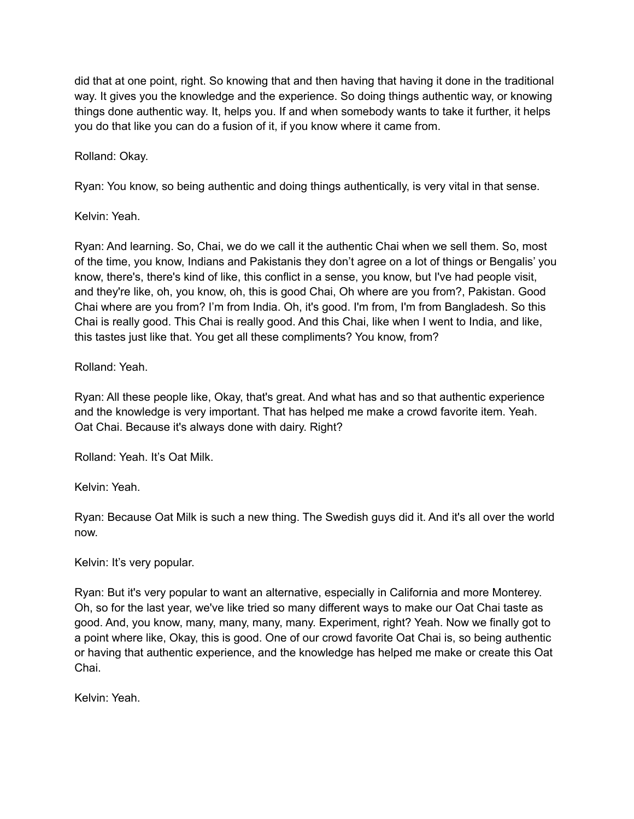did that at one point, right. So knowing that and then having that having it done in the traditional way. It gives you the knowledge and the experience. So doing things authentic way, or knowing things done authentic way. It, helps you. If and when somebody wants to take it further, it helps you do that like you can do a fusion of it, if you know where it came from.

Rolland: Okay.

Ryan: You know, so being authentic and doing things authentically, is very vital in that sense.

Kelvin: Yeah.

Ryan: And learning. So, Chai, we do we call it the authentic Chai when we sell them. So, most of the time, you know, Indians and Pakistanis they don't agree on a lot of things or Bengalis' you know, there's, there's kind of like, this conflict in a sense, you know, but I've had people visit, and they're like, oh, you know, oh, this is good Chai, Oh where are you from?, Pakistan. Good Chai where are you from? I'm from India. Oh, it's good. I'm from, I'm from Bangladesh. So this Chai is really good. This Chai is really good. And this Chai, like when I went to India, and like, this tastes just like that. You get all these compliments? You know, from?

Rolland: Yeah.

Ryan: All these people like, Okay, that's great. And what has and so that authentic experience and the knowledge is very important. That has helped me make a crowd favorite item. Yeah. Oat Chai. Because it's always done with dairy. Right?

Rolland: Yeah. It's Oat Milk.

Kelvin: Yeah.

Ryan: Because Oat Milk is such a new thing. The Swedish guys did it. And it's all over the world now.

Kelvin: It's very popular.

Ryan: But it's very popular to want an alternative, especially in California and more Monterey. Oh, so for the last year, we've like tried so many different ways to make our Oat Chai taste as good. And, you know, many, many, many, many. Experiment, right? Yeah. Now we finally got to a point where like, Okay, this is good. One of our crowd favorite Oat Chai is, so being authentic or having that authentic experience, and the knowledge has helped me make or create this Oat Chai.

Kelvin: Yeah.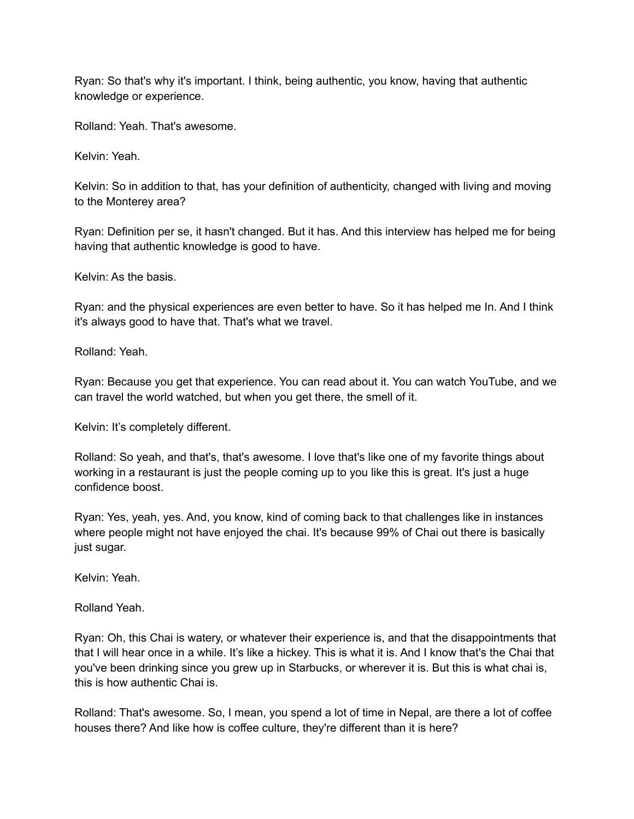Ryan: So that's why it's important. I think, being authentic, you know, having that authentic knowledge or experience.

Rolland: Yeah. That's awesome.

Kelvin: Yeah.

Kelvin: So in addition to that, has your definition of authenticity, changed with living and moving to the Monterey area?

Ryan: Definition per se, it hasn't changed. But it has. And this interview has helped me for being having that authentic knowledge is good to have.

Kelvin: As the basis.

Ryan: and the physical experiences are even better to have. So it has helped me In. And I think it's always good to have that. That's what we travel.

Rolland: Yeah.

Ryan: Because you get that experience. You can read about it. You can watch YouTube, and we can travel the world watched, but when you get there, the smell of it.

Kelvin: It's completely different.

Rolland: So yeah, and that's, that's awesome. I love that's like one of my favorite things about working in a restaurant is just the people coming up to you like this is great. It's just a huge confidence boost.

Ryan: Yes, yeah, yes. And, you know, kind of coming back to that challenges like in instances where people might not have enjoyed the chai. It's because 99% of Chai out there is basically just sugar.

Kelvin: Yeah.

Rolland Yeah.

Ryan: Oh, this Chai is watery, or whatever their experience is, and that the disappointments that that I will hear once in a while. It's like a hickey. This is what it is. And I know that's the Chai that you've been drinking since you grew up in Starbucks, or wherever it is. But this is what chai is, this is how authentic Chai is.

Rolland: That's awesome. So, I mean, you spend a lot of time in Nepal, are there a lot of coffee houses there? And like how is coffee culture, they're different than it is here?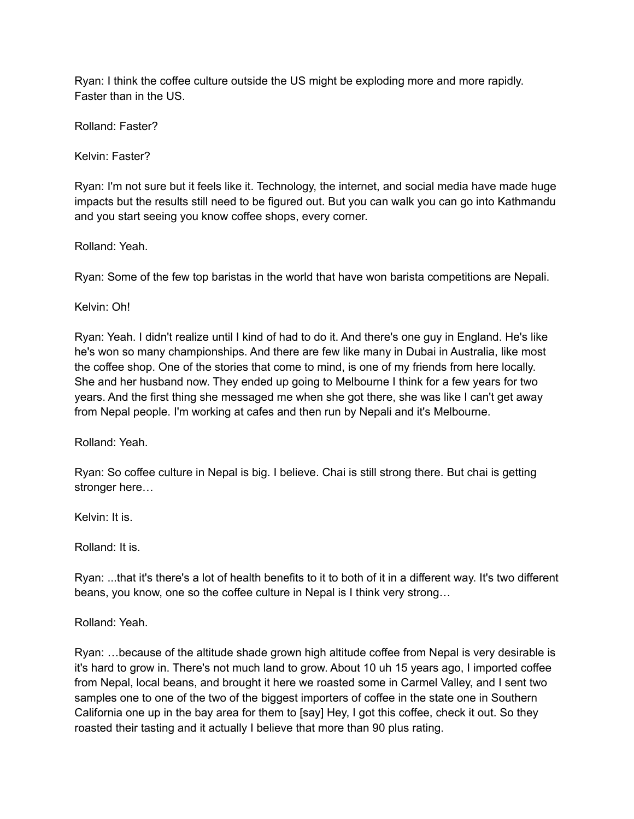Ryan: I think the coffee culture outside the US might be exploding more and more rapidly. Faster than in the US.

Rolland: Faster?

Kelvin: Faster?

Ryan: I'm not sure but it feels like it. Technology, the internet, and social media have made huge impacts but the results still need to be figured out. But you can walk you can go into Kathmandu and you start seeing you know coffee shops, every corner.

Rolland: Yeah.

Ryan: Some of the few top baristas in the world that have won barista competitions are Nepali.

Kelvin: Oh!

Ryan: Yeah. I didn't realize until I kind of had to do it. And there's one guy in England. He's like he's won so many championships. And there are few like many in Dubai in Australia, like most the coffee shop. One of the stories that come to mind, is one of my friends from here locally. She and her husband now. They ended up going to Melbourne I think for a few years for two years. And the first thing she messaged me when she got there, she was like I can't get away from Nepal people. I'm working at cafes and then run by Nepali and it's Melbourne.

Rolland: Yeah.

Ryan: So coffee culture in Nepal is big. I believe. Chai is still strong there. But chai is getting stronger here…

Kelvin: It is.

Rolland: It is.

Ryan: ...that it's there's a lot of health benefits to it to both of it in a different way. It's two different beans, you know, one so the coffee culture in Nepal is I think very strong…

Rolland: Yeah.

Ryan: …because of the altitude shade grown high altitude coffee from Nepal is very desirable is it's hard to grow in. There's not much land to grow. About 10 uh 15 years ago, I imported coffee from Nepal, local beans, and brought it here we roasted some in Carmel Valley, and I sent two samples one to one of the two of the biggest importers of coffee in the state one in Southern California one up in the bay area for them to [say] Hey, I got this coffee, check it out. So they roasted their tasting and it actually I believe that more than 90 plus rating.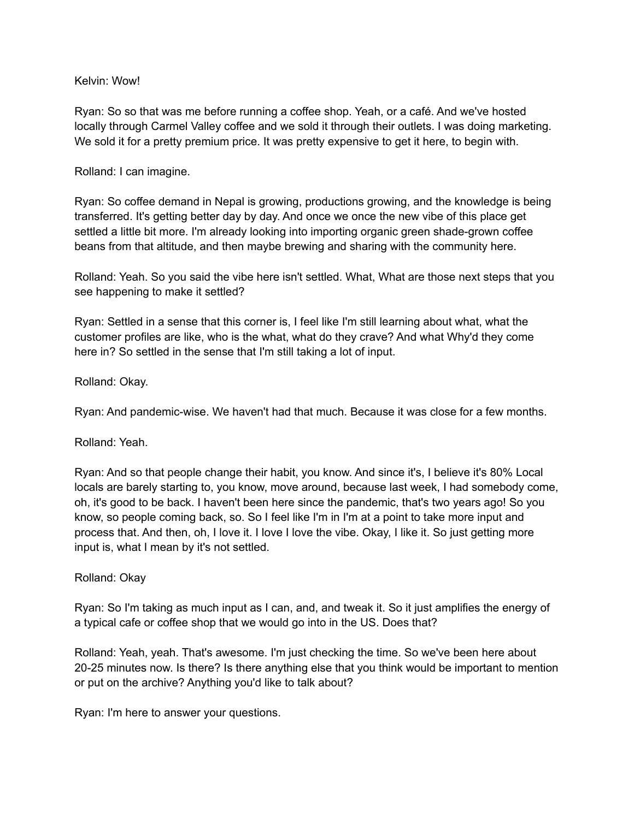#### Kelvin: Wow!

Ryan: So so that was me before running a coffee shop. Yeah, or a café. And we've hosted locally through Carmel Valley coffee and we sold it through their outlets. I was doing marketing. We sold it for a pretty premium price. It was pretty expensive to get it here, to begin with.

### Rolland: I can imagine.

Ryan: So coffee demand in Nepal is growing, productions growing, and the knowledge is being transferred. It's getting better day by day. And once we once the new vibe of this place get settled a little bit more. I'm already looking into importing organic green shade-grown coffee beans from that altitude, and then maybe brewing and sharing with the community here.

Rolland: Yeah. So you said the vibe here isn't settled. What, What are those next steps that you see happening to make it settled?

Ryan: Settled in a sense that this corner is, I feel like I'm still learning about what, what the customer profiles are like, who is the what, what do they crave? And what Why'd they come here in? So settled in the sense that I'm still taking a lot of input.

Rolland: Okay.

Ryan: And pandemic-wise. We haven't had that much. Because it was close for a few months.

Rolland: Yeah.

Ryan: And so that people change their habit, you know. And since it's, I believe it's 80% Local locals are barely starting to, you know, move around, because last week, I had somebody come, oh, it's good to be back. I haven't been here since the pandemic, that's two years ago! So you know, so people coming back, so. So I feel like I'm in I'm at a point to take more input and process that. And then, oh, I love it. I love I love the vibe. Okay, I like it. So just getting more input is, what I mean by it's not settled.

#### Rolland: Okay

Ryan: So I'm taking as much input as I can, and, and tweak it. So it just amplifies the energy of a typical cafe or coffee shop that we would go into in the US. Does that?

Rolland: Yeah, yeah. That's awesome. I'm just checking the time. So we've been here about 20-25 minutes now. Is there? Is there anything else that you think would be important to mention or put on the archive? Anything you'd like to talk about?

Ryan: I'm here to answer your questions.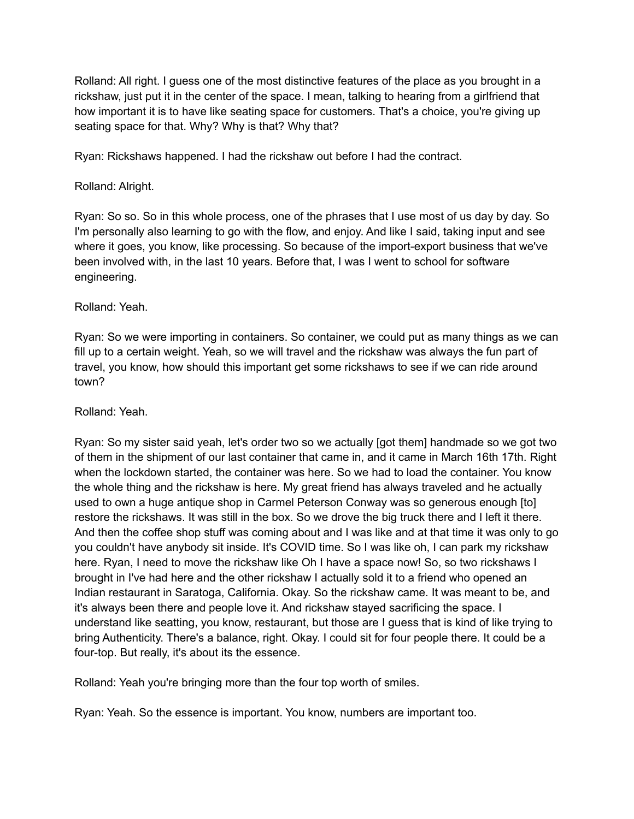Rolland: All right. I guess one of the most distinctive features of the place as you brought in a rickshaw, just put it in the center of the space. I mean, talking to hearing from a girlfriend that how important it is to have like seating space for customers. That's a choice, you're giving up seating space for that. Why? Why is that? Why that?

Ryan: Rickshaws happened. I had the rickshaw out before I had the contract.

# Rolland: Alright.

Ryan: So so. So in this whole process, one of the phrases that I use most of us day by day. So I'm personally also learning to go with the flow, and enjoy. And like I said, taking input and see where it goes, you know, like processing. So because of the import-export business that we've been involved with, in the last 10 years. Before that, I was I went to school for software engineering.

# Rolland: Yeah.

Ryan: So we were importing in containers. So container, we could put as many things as we can fill up to a certain weight. Yeah, so we will travel and the rickshaw was always the fun part of travel, you know, how should this important get some rickshaws to see if we can ride around town?

### Rolland: Yeah.

Ryan: So my sister said yeah, let's order two so we actually [got them] handmade so we got two of them in the shipment of our last container that came in, and it came in March 16th 17th. Right when the lockdown started, the container was here. So we had to load the container. You know the whole thing and the rickshaw is here. My great friend has always traveled and he actually used to own a huge antique shop in Carmel Peterson Conway was so generous enough [to] restore the rickshaws. It was still in the box. So we drove the big truck there and I left it there. And then the coffee shop stuff was coming about and I was like and at that time it was only to go you couldn't have anybody sit inside. It's COVID time. So I was like oh, I can park my rickshaw here. Ryan, I need to move the rickshaw like Oh I have a space now! So, so two rickshaws I brought in I've had here and the other rickshaw I actually sold it to a friend who opened an Indian restaurant in Saratoga, California. Okay. So the rickshaw came. It was meant to be, and it's always been there and people love it. And rickshaw stayed sacrificing the space. I understand like seatting, you know, restaurant, but those are I guess that is kind of like trying to bring Authenticity. There's a balance, right. Okay. I could sit for four people there. It could be a four-top. But really, it's about its the essence.

Rolland: Yeah you're bringing more than the four top worth of smiles.

Ryan: Yeah. So the essence is important. You know, numbers are important too.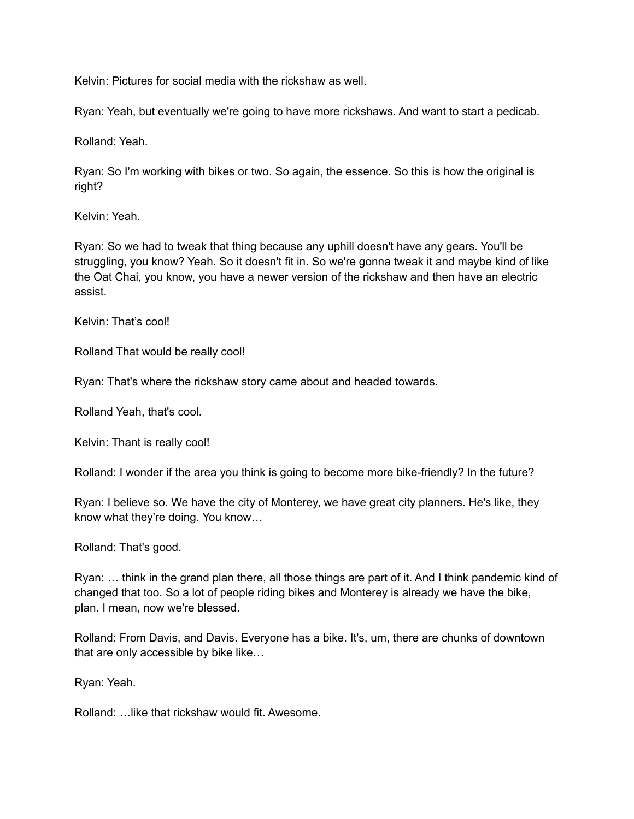Kelvin: Pictures for social media with the rickshaw as well.

Ryan: Yeah, but eventually we're going to have more rickshaws. And want to start a pedicab.

Rolland: Yeah.

Ryan: So I'm working with bikes or two. So again, the essence. So this is how the original is right?

Kelvin: Yeah.

Ryan: So we had to tweak that thing because any uphill doesn't have any gears. You'll be struggling, you know? Yeah. So it doesn't fit in. So we're gonna tweak it and maybe kind of like the Oat Chai, you know, you have a newer version of the rickshaw and then have an electric assist.

Kelvin: That's cool!

Rolland That would be really cool!

Ryan: That's where the rickshaw story came about and headed towards.

Rolland Yeah, that's cool.

Kelvin: Thant is really cool!

Rolland: I wonder if the area you think is going to become more bike-friendly? In the future?

Ryan: I believe so. We have the city of Monterey, we have great city planners. He's like, they know what they're doing. You know…

Rolland: That's good.

Ryan: … think in the grand plan there, all those things are part of it. And I think pandemic kind of changed that too. So a lot of people riding bikes and Monterey is already we have the bike, plan. I mean, now we're blessed.

Rolland: From Davis, and Davis. Everyone has a bike. It's, um, there are chunks of downtown that are only accessible by bike like…

Ryan: Yeah.

Rolland: …like that rickshaw would fit. Awesome.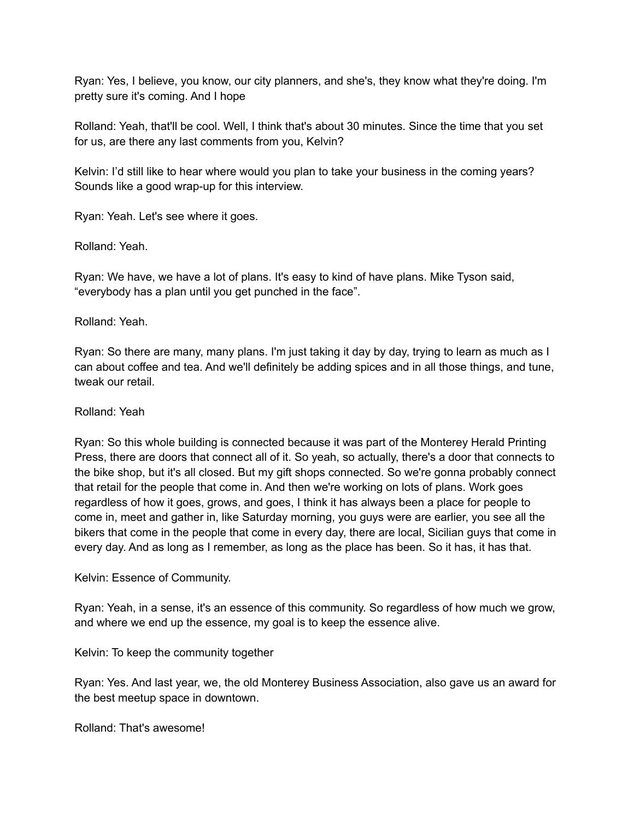Ryan: Yes, I believe, you know, our city planners, and she's, they know what they're doing. I'm pretty sure it's coming. And I hope

Rolland: Yeah, that'll be cool. Well, I think that's about 30 minutes. Since the time that you set for us, are there any last comments from you, Kelvin?

Kelvin: I'd still like to hear where would you plan to take your business in the coming years? Sounds like a good wrap-up for this interview.

Ryan: Yeah. Let's see where it goes.

Rolland: Yeah.

Ryan: We have, we have a lot of plans. It's easy to kind of have plans. Mike Tyson said, "everybody has a plan until you get punched in the face".

#### Rolland: Yeah.

Ryan: So there are many, many plans. I'm just taking it day by day, trying to learn as much as I can about coffee and tea. And we'll definitely be adding spices and in all those things, and tune, tweak our retail.

### Rolland: Yeah

Ryan: So this whole building is connected because it was part of the Monterey Herald Printing Press, there are doors that connect all of it. So yeah, so actually, there's a door that connects to the bike shop, but it's all closed. But my gift shops connected. So we're gonna probably connect that retail for the people that come in. And then we're working on lots of plans. Work goes regardless of how it goes, grows, and goes, I think it has always been a place for people to come in, meet and gather in, like Saturday morning, you guys were are earlier, you see all the bikers that come in the people that come in every day, there are local, Sicilian guys that come in every day. And as long as I remember, as long as the place has been. So it has, it has that.

Kelvin: Essence of Community.

Ryan: Yeah, in a sense, it's an essence of this community. So regardless of how much we grow, and where we end up the essence, my goal is to keep the essence alive.

Kelvin: To keep the community together

Ryan: Yes. And last year, we, the old Monterey Business Association, also gave us an award for the best meetup space in downtown.

Rolland: That's awesome!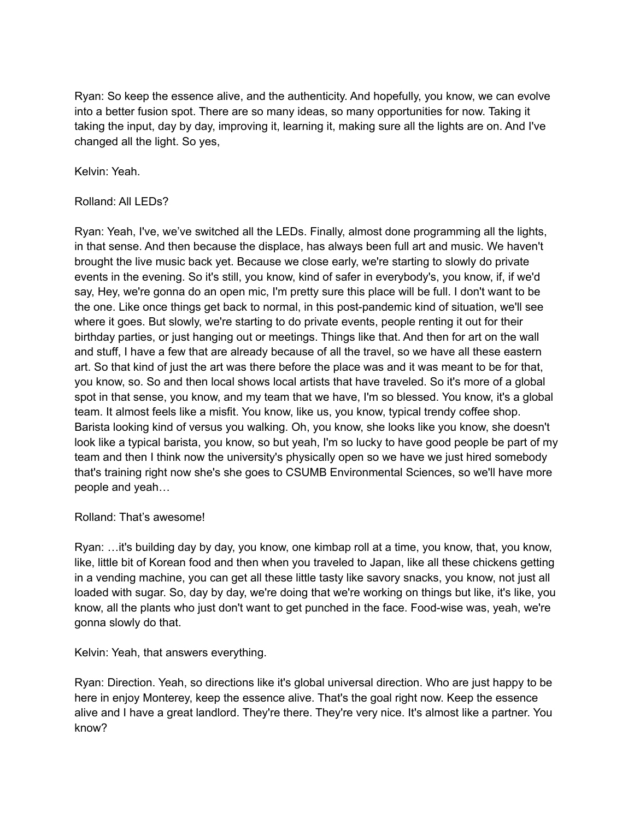Ryan: So keep the essence alive, and the authenticity. And hopefully, you know, we can evolve into a better fusion spot. There are so many ideas, so many opportunities for now. Taking it taking the input, day by day, improving it, learning it, making sure all the lights are on. And I've changed all the light. So yes,

Kelvin: Yeah.

# Rolland: All LEDs?

Ryan: Yeah, I've, we've switched all the LEDs. Finally, almost done programming all the lights, in that sense. And then because the displace, has always been full art and music. We haven't brought the live music back yet. Because we close early, we're starting to slowly do private events in the evening. So it's still, you know, kind of safer in everybody's, you know, if, if we'd say, Hey, we're gonna do an open mic, I'm pretty sure this place will be full. I don't want to be the one. Like once things get back to normal, in this post-pandemic kind of situation, we'll see where it goes. But slowly, we're starting to do private events, people renting it out for their birthday parties, or just hanging out or meetings. Things like that. And then for art on the wall and stuff, I have a few that are already because of all the travel, so we have all these eastern art. So that kind of just the art was there before the place was and it was meant to be for that, you know, so. So and then local shows local artists that have traveled. So it's more of a global spot in that sense, you know, and my team that we have, I'm so blessed. You know, it's a global team. It almost feels like a misfit. You know, like us, you know, typical trendy coffee shop. Barista looking kind of versus you walking. Oh, you know, she looks like you know, she doesn't look like a typical barista, you know, so but yeah, I'm so lucky to have good people be part of my team and then I think now the university's physically open so we have we just hired somebody that's training right now she's she goes to CSUMB Environmental Sciences, so we'll have more people and yeah…

#### Rolland: That's awesome!

Ryan: …it's building day by day, you know, one kimbap roll at a time, you know, that, you know, like, little bit of Korean food and then when you traveled to Japan, like all these chickens getting in a vending machine, you can get all these little tasty like savory snacks, you know, not just all loaded with sugar. So, day by day, we're doing that we're working on things but like, it's like, you know, all the plants who just don't want to get punched in the face. Food-wise was, yeah, we're gonna slowly do that.

Kelvin: Yeah, that answers everything.

Ryan: Direction. Yeah, so directions like it's global universal direction. Who are just happy to be here in enjoy Monterey, keep the essence alive. That's the goal right now. Keep the essence alive and I have a great landlord. They're there. They're very nice. It's almost like a partner. You know?